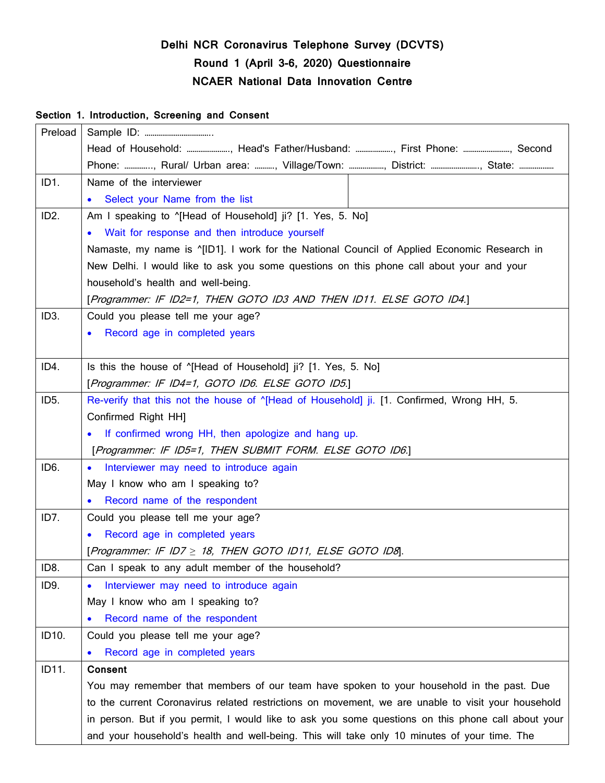# **Delhi NCR Coronavirus Telephone Survey (DCVTS) Round 1 (April 3-6, 2020) Questionnaire NCAER National Data Innovation Centre**

#### **Section 1. Introduction, Screening and Consent**

| Preload           |                                                                                                                             |  |  |
|-------------------|-----------------------------------------------------------------------------------------------------------------------------|--|--|
|                   | Head of Household: , Head's Father/Husband: , First Phone: , Second                                                         |  |  |
|                   | Phone: , Rural/ Urban area: , Village/Town: , District: , State:                                                            |  |  |
| ID1.              | Name of the interviewer                                                                                                     |  |  |
|                   | Select your Name from the list<br>$\bullet$                                                                                 |  |  |
| ID <sub>2</sub> . | Am I speaking to "[Head of Household] ji? [1. Yes, 5. No]                                                                   |  |  |
|                   | • Wait for response and then introduce yourself                                                                             |  |  |
|                   | Namaste, my name is $^{\circ}$ [ID1]. I work for the National Council of Applied Economic Research in                       |  |  |
|                   | New Delhi. I would like to ask you some questions on this phone call about your and your                                    |  |  |
|                   | household's health and well-being.                                                                                          |  |  |
|                   | [Programmer: IF ID2=1, THEN GOTO ID3 AND THEN ID11. ELSE GOTO ID4.]                                                         |  |  |
| ID <sub>3</sub> . | Could you please tell me your age?                                                                                          |  |  |
|                   | Record age in completed years                                                                                               |  |  |
|                   |                                                                                                                             |  |  |
| ID4.              | Is this the house of "[Head of Household] ji? [1. Yes, 5. No]                                                               |  |  |
|                   | [Programmer: IF ID4=1, GOTO ID6. ELSE GOTO ID5.]                                                                            |  |  |
| ID <sub>5</sub> . | Re-verify that this not the house of "[Head of Household] ji. [1. Confirmed, Wrong HH, 5.                                   |  |  |
|                   | Confirmed Right HH]                                                                                                         |  |  |
|                   | If confirmed wrong HH, then apologize and hang up.<br>$\bullet$<br>[Programmer: IF ID5=1, THEN SUBMIT FORM. ELSE GOTO ID6.] |  |  |
|                   |                                                                                                                             |  |  |
| ID <sub>6</sub> . | • Interviewer may need to introduce again                                                                                   |  |  |
|                   | May I know who am I speaking to?                                                                                            |  |  |
|                   | Record name of the respondent                                                                                               |  |  |
| ID7.              | Could you please tell me your age?                                                                                          |  |  |
|                   | Record age in completed years                                                                                               |  |  |
|                   | [Programmer: IF ID7 ≥ 18, THEN GOTO ID11, ELSE GOTO ID8].                                                                   |  |  |
| ID8.              | Can I speak to any adult member of the household?                                                                           |  |  |
| ID9.              | Interviewer may need to introduce again<br>$\bullet$                                                                        |  |  |
|                   | May I know who am I speaking to?                                                                                            |  |  |
|                   | Record name of the respondent<br>$\bullet$                                                                                  |  |  |
| ID10.             | Could you please tell me your age?                                                                                          |  |  |
|                   | Record age in completed years                                                                                               |  |  |
| ID11.             | <b>Consent</b>                                                                                                              |  |  |
|                   | You may remember that members of our team have spoken to your household in the past. Due                                    |  |  |
|                   | to the current Coronavirus related restrictions on movement, we are unable to visit your household                          |  |  |
|                   | in person. But if you permit, I would like to ask you some questions on this phone call about your                          |  |  |
|                   | and your household's health and well-being. This will take only 10 minutes of your time. The                                |  |  |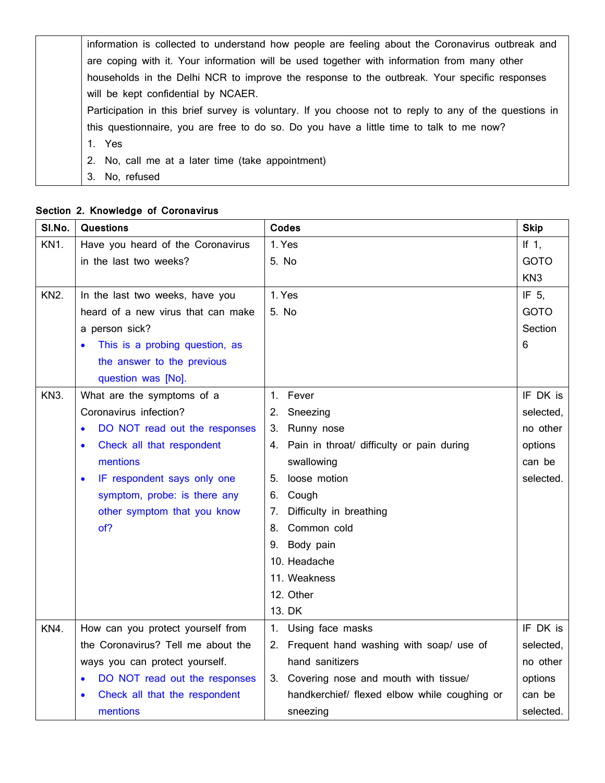| information is collected to understand how people are feeling about the Coronavirus outbreak and       |
|--------------------------------------------------------------------------------------------------------|
| are coping with it. Your information will be used together with information from many other            |
| households in the Delhi NCR to improve the response to the outbreak. Your specific responses           |
| will be kept confidential by NCAER.                                                                    |
| Participation in this brief survey is voluntary. If you choose not to reply to any of the questions in |
| this questionnaire, you are free to do so. Do you have a little time to talk to me now?                |
| 1. Yes                                                                                                 |
| 2. No, call me at a later time (take appointment)                                                      |
| 3.<br>No, refused                                                                                      |

## **Section 2. Knowledge of Coronavirus**

| SI.No.          | <b>Questions</b>                         | <b>Codes</b>                                    | <b>Skip</b>     |
|-----------------|------------------------------------------|-------------------------------------------------|-----------------|
| KN <sub>1</sub> | Have you heard of the Coronavirus        | 1. Yes                                          | If $1$ ,        |
|                 | in the last two weeks?                   | 5. No                                           | <b>GOTO</b>     |
|                 |                                          |                                                 | KN <sub>3</sub> |
| <b>KN2.</b>     | In the last two weeks, have you          | 1. Yes                                          | IF 5.           |
|                 | heard of a new virus that can make       | 5. No                                           | <b>GOTO</b>     |
|                 | a person sick?                           |                                                 | Section         |
|                 | This is a probing question, as           |                                                 | 6               |
|                 | the answer to the previous               |                                                 |                 |
|                 | question was [No].                       |                                                 |                 |
| <b>KN3.</b>     | What are the symptoms of a               | Fever<br>$1_{-}$                                | IF DK is        |
|                 | Coronavirus infection?                   | Sneezing<br>2.                                  | selected,       |
|                 | DO NOT read out the responses            | 3.<br>Runny nose                                | no other        |
|                 | Check all that respondent                | Pain in throat/ difficulty or pain during<br>4. | options         |
|                 | mentions                                 | swallowing                                      | can be          |
|                 | IF respondent says only one<br>$\bullet$ | loose motion<br>5.                              | selected.       |
|                 | symptom, probe: is there any             | Cough<br>6.                                     |                 |
|                 | other symptom that you know              | Difficulty in breathing<br>7.                   |                 |
|                 | of?                                      | Common cold<br>8.                               |                 |
|                 |                                          | Body pain<br>9.                                 |                 |
|                 |                                          | 10. Headache                                    |                 |
|                 |                                          | 11. Weakness                                    |                 |
|                 |                                          | 12. Other                                       |                 |
|                 |                                          | 13. DK                                          |                 |
| KN4.            | How can you protect yourself from        | Using face masks<br>1.                          | IF DK is        |
|                 | the Coronavirus? Tell me about the       | Frequent hand washing with soap/ use of<br>2.   | selected,       |
|                 | ways you can protect yourself.           | hand sanitizers                                 | no other        |
|                 | DO NOT read out the responses            | 3. Covering nose and mouth with tissue/         | options         |
|                 | Check all that the respondent            | handkerchief/ flexed elbow while coughing or    | can be          |
|                 | mentions                                 | sneezing                                        | selected.       |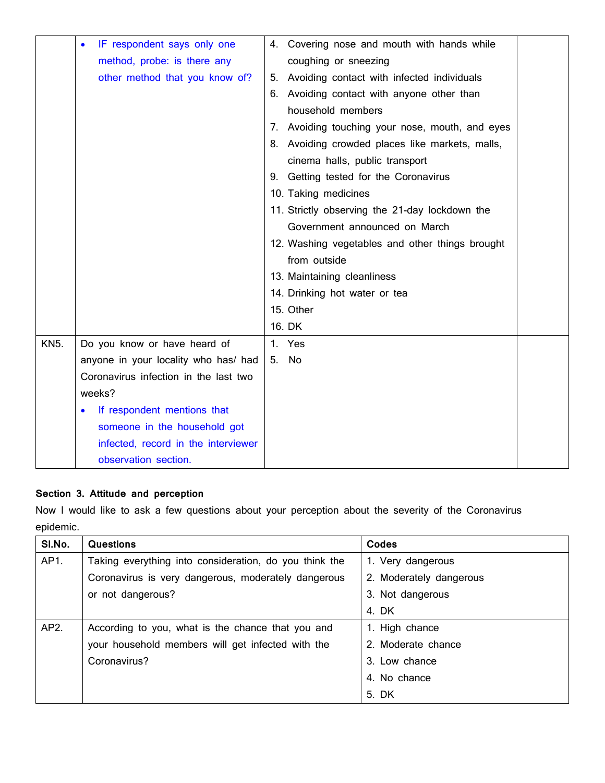|             | IF respondent says only one<br>$\bullet$ | 4. Covering nose and mouth with hands while     |  |
|-------------|------------------------------------------|-------------------------------------------------|--|
|             | method, probe: is there any              | coughing or sneezing                            |  |
|             | other method that you know of?           | 5. Avoiding contact with infected individuals   |  |
|             |                                          | 6. Avoiding contact with anyone other than      |  |
|             |                                          | household members                               |  |
|             |                                          | 7. Avoiding touching your nose, mouth, and eyes |  |
|             |                                          | 8. Avoiding crowded places like markets, malls, |  |
|             |                                          | cinema halls, public transport                  |  |
|             |                                          | 9. Getting tested for the Coronavirus           |  |
|             |                                          | 10. Taking medicines                            |  |
|             |                                          | 11. Strictly observing the 21-day lockdown the  |  |
|             |                                          | Government announced on March                   |  |
|             |                                          | 12. Washing vegetables and other things brought |  |
|             |                                          | from outside                                    |  |
|             |                                          | 13. Maintaining cleanliness                     |  |
|             |                                          | 14. Drinking hot water or tea                   |  |
|             |                                          | 15. Other                                       |  |
|             |                                          | 16. DK                                          |  |
| <b>KN5.</b> | Do you know or have heard of             | 1. Yes                                          |  |
|             | anyone in your locality who has/ had     | 5. No                                           |  |
|             | Coronavirus infection in the last two    |                                                 |  |
|             | weeks?                                   |                                                 |  |
|             | If respondent mentions that<br>O         |                                                 |  |
|             | someone in the household got             |                                                 |  |
|             | infected, record in the interviewer      |                                                 |  |
|             | observation section.                     |                                                 |  |

## **Section 3. Attitude and perception**

Now I would like to ask a few questions about your perception about the severity of the Coronavirus epidemic.

| SI.No. | Questions                                              | Codes                   |
|--------|--------------------------------------------------------|-------------------------|
| AP1.   | Taking everything into consideration, do you think the | 1. Very dangerous       |
|        | Coronavirus is very dangerous, moderately dangerous    | 2. Moderately dangerous |
|        | or not dangerous?                                      | 3. Not dangerous        |
|        |                                                        | 4. DK                   |
| AP2.   | According to you, what is the chance that you and      | 1. High chance          |
|        | your household members will get infected with the      | 2. Moderate chance      |
|        | Coronavirus?                                           | 3. Low chance           |
|        |                                                        | 4. No chance            |
|        |                                                        | 5. DK                   |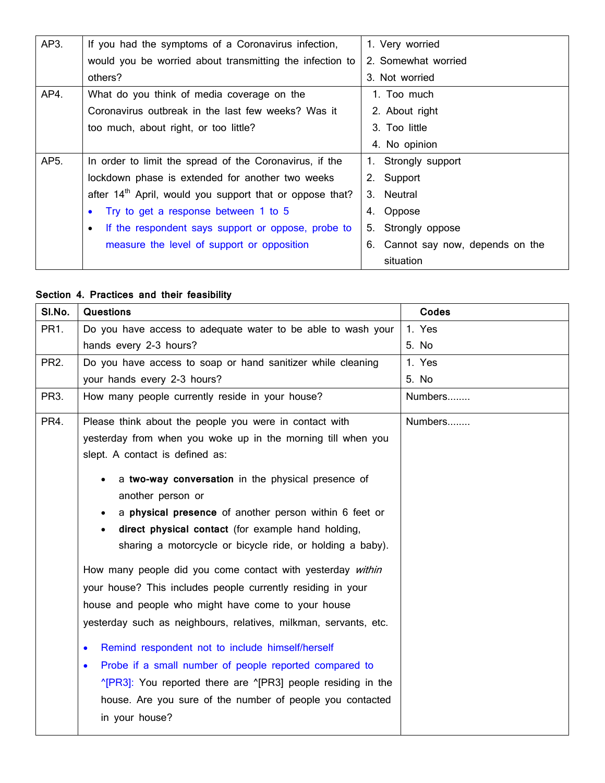| AP3. | If you had the symptoms of a Coronavirus infection,                  | 1. Very worried                   |
|------|----------------------------------------------------------------------|-----------------------------------|
|      | would you be worried about transmitting the infection to             | 2. Somewhat worried               |
|      | others?                                                              | 3. Not worried                    |
| AP4. | What do you think of media coverage on the                           | 1. Too much                       |
|      | Coronavirus outbreak in the last few weeks? Was it                   | 2. About right                    |
|      | too much, about right, or too little?                                | 3. Too little                     |
|      |                                                                      | 4. No opinion                     |
| AP5. | In order to limit the spread of the Coronavirus, if the              | 1. Strongly support               |
|      | lockdown phase is extended for another two weeks                     | 2. Support                        |
|      | after 14 <sup>th</sup> April, would you support that or oppose that? | 3. Neutral                        |
|      | • Try to get a response between 1 to 5                               | 4. Oppose                         |
|      | If the respondent says support or oppose, probe to                   | Strongly oppose<br>5.             |
|      | measure the level of support or opposition                           | 6. Cannot say now, depends on the |
|      |                                                                      | situation                         |

## **Section 4. Practices and their feasibility**

| SI.No.            | <b>Questions</b>                                                                 | Codes   |
|-------------------|----------------------------------------------------------------------------------|---------|
| PR1.              | Do you have access to adequate water to be able to wash your                     | 1. Yes  |
|                   | hands every 2-3 hours?                                                           | 5. No   |
| <b>PR2.</b>       | Do you have access to soap or hand sanitizer while cleaning                      | 1. Yes  |
|                   | your hands every 2-3 hours?                                                      | 5. No   |
| PR <sub>3</sub> . | How many people currently reside in your house?                                  | Numbers |
| PR4.              | Please think about the people you were in contact with                           | Numbers |
|                   | yesterday from when you woke up in the morning till when you                     |         |
|                   | slept. A contact is defined as:                                                  |         |
|                   | a two-way conversation in the physical presence of                               |         |
|                   | another person or                                                                |         |
|                   | a physical presence of another person within 6 feet or                           |         |
|                   | direct physical contact (for example hand holding,                               |         |
|                   | sharing a motorcycle or bicycle ride, or holding a baby).                        |         |
|                   | How many people did you come contact with yesterday within                       |         |
|                   | your house? This includes people currently residing in your                      |         |
|                   | house and people who might have come to your house                               |         |
|                   | yesterday such as neighbours, relatives, milkman, servants, etc.                 |         |
|                   | Remind respondent not to include himself/herself<br>$\bullet$                    |         |
|                   | Probe if a small number of people reported compared to<br>$\bullet$              |         |
|                   | $^{\circ}$ [PR3]: You reported there are $^{\circ}$ [PR3] people residing in the |         |
|                   | house. Are you sure of the number of people you contacted                        |         |
|                   | in your house?                                                                   |         |
|                   |                                                                                  |         |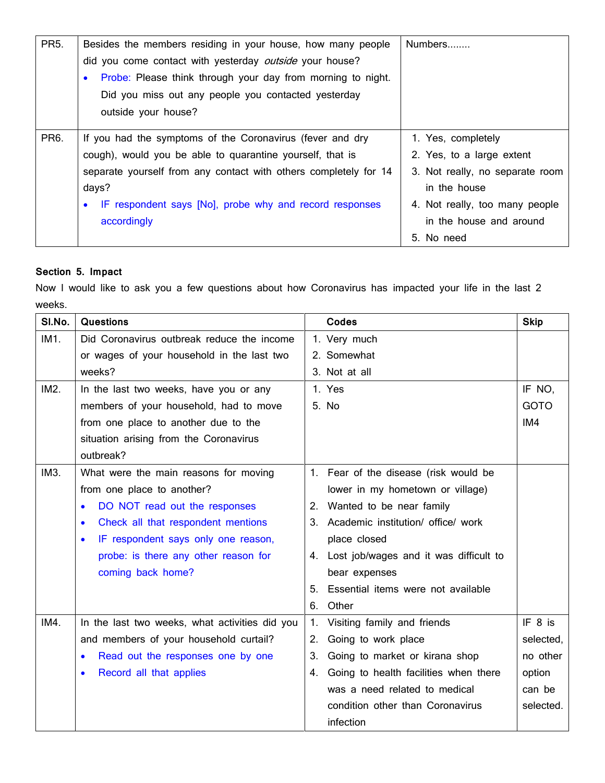| <b>PR5.</b>       | Besides the members residing in your house, how many people              | Numbers                         |
|-------------------|--------------------------------------------------------------------------|---------------------------------|
|                   | did you come contact with yesterday <i>outside</i> your house?           |                                 |
|                   | Probe: Please think through your day from morning to night.<br>$\bullet$ |                                 |
|                   | Did you miss out any people you contacted yesterday                      |                                 |
|                   | outside your house?                                                      |                                 |
| PR <sub>6</sub> . | If you had the symptoms of the Coronavirus (fever and dry                | 1. Yes, completely              |
|                   | cough), would you be able to quarantine yourself, that is                | 2. Yes, to a large extent       |
|                   | separate yourself from any contact with others completely for 14         | 3. Not really, no separate room |
|                   | days?                                                                    | in the house                    |
|                   | IF respondent says [No], probe why and record responses                  | 4. Not really, too many people  |
|                   | accordingly                                                              | in the house and around         |
|                   |                                                                          | 5. No need                      |

### **Section 5. Impact**

Now I would like to ask you a few questions about how Coronavirus has impacted your life in the last 2 weeks.

| SI.No. | <b>Questions</b>                                 | Codes                                       | <b>Skip</b> |
|--------|--------------------------------------------------|---------------------------------------------|-------------|
| IM1.   | Did Coronavirus outbreak reduce the income       | 1. Very much                                |             |
|        | or wages of your household in the last two       | 2. Somewhat                                 |             |
|        | weeks?                                           | 3. Not at all                               |             |
| IM2.   | In the last two weeks, have you or any           | 1. Yes                                      | IF NO,      |
|        | members of your household, had to move           | 5. No                                       | <b>GOTO</b> |
|        | from one place to another due to the             |                                             | IM4         |
|        | situation arising from the Coronavirus           |                                             |             |
|        | outbreak?                                        |                                             |             |
| IM3.   | What were the main reasons for moving            | 1. Fear of the disease (risk would be       |             |
|        | from one place to another?                       | lower in my hometown or village)            |             |
|        | DO NOT read out the responses<br>$\bullet$       | 2. Wanted to be near family                 |             |
|        | Check all that respondent mentions<br>$\bullet$  | 3. Academic institution/ office/ work       |             |
|        | IF respondent says only one reason,<br>$\bullet$ | place closed                                |             |
|        | probe: is there any other reason for             | 4. Lost job/wages and it was difficult to   |             |
|        | coming back home?                                | bear expenses                               |             |
|        |                                                  | 5. Essential items were not available       |             |
|        |                                                  | Other<br>6.                                 |             |
| IM4.   | In the last two weeks, what activities did you   | Visiting family and friends<br>1.           | IF 8 is     |
|        | and members of your household curtail?           | Going to work place<br>2.                   | selected,   |
|        | Read out the responses one by one                | Going to market or kirana shop<br>3.        | no other    |
|        | Record all that applies                          | Going to health facilities when there<br>4. | option      |
|        |                                                  | was a need related to medical               | can be      |
|        |                                                  | condition other than Coronavirus            | selected.   |
|        |                                                  | infection                                   |             |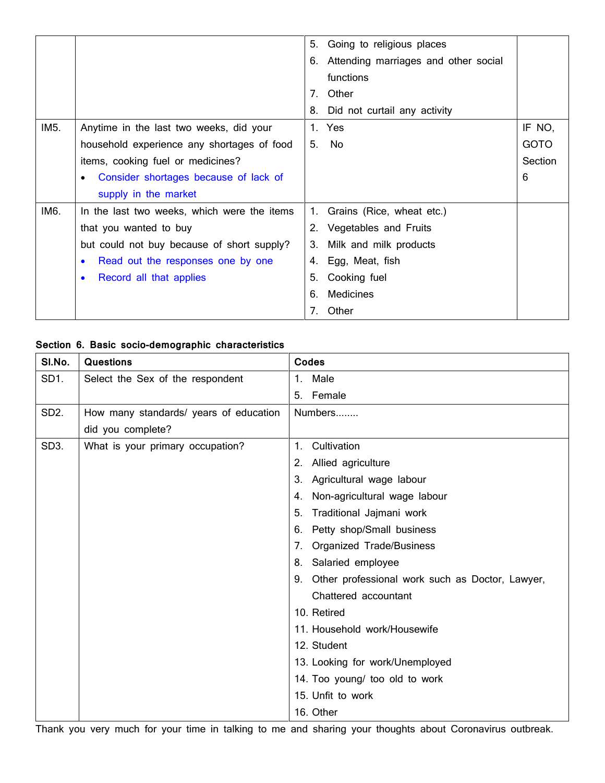|      |                                             | Going to religious places<br>5.            |             |
|------|---------------------------------------------|--------------------------------------------|-------------|
|      |                                             | Attending marriages and other social<br>6. |             |
|      |                                             | functions                                  |             |
|      |                                             | Other<br>7                                 |             |
|      |                                             | Did not curtail any activity<br>8.         |             |
| IM5. | Anytime in the last two weeks, did your     | 1. Yes                                     | IF NO,      |
|      | household experience any shortages of food  | 5.<br>No                                   | <b>GOTO</b> |
|      | items, cooking fuel or medicines?           |                                            | Section     |
|      | Consider shortages because of lack of       |                                            | 6           |
|      | supply in the market                        |                                            |             |
| IM6. | In the last two weeks, which were the items | Grains (Rice, wheat etc.)<br>1.            |             |
|      | that you wanted to buy                      | 2. Vegetables and Fruits                   |             |
|      | but could not buy because of short supply?  | Milk and milk products<br>3.               |             |
|      | Read out the responses one by one           | Egg, Meat, fish<br>4.                      |             |
|      | Record all that applies                     | Cooking fuel<br>5.                         |             |
|      |                                             | Medicines<br>6.                            |             |
|      |                                             | Other<br>7.                                |             |

## **Section 6. Basic socio-demographic characteristics**

| SI.No.            | <b>Questions</b>                       | Codes                                              |
|-------------------|----------------------------------------|----------------------------------------------------|
| SD1.              | Select the Sex of the respondent       | 1. Male                                            |
|                   |                                        | 5. Female                                          |
| SD <sub>2</sub> . | How many standards/ years of education | Numbers                                            |
|                   | did you complete?                      |                                                    |
| SD <sub>3</sub> . | What is your primary occupation?       | Cultivation<br>1.                                  |
|                   |                                        | Allied agriculture<br>2.                           |
|                   |                                        | Agricultural wage labour<br>3.                     |
|                   |                                        | Non-agricultural wage labour<br>4.                 |
|                   |                                        | Traditional Jajmani work<br>5.                     |
|                   |                                        | Petty shop/Small business<br>6.                    |
|                   |                                        | Organized Trade/Business<br>7.                     |
|                   |                                        | Salaried employee<br>8.                            |
|                   |                                        | 9. Other professional work such as Doctor, Lawyer, |
|                   |                                        | Chattered accountant                               |
|                   |                                        | 10. Retired                                        |
|                   |                                        | 11. Household work/Housewife                       |
|                   |                                        | 12. Student                                        |
|                   |                                        | 13. Looking for work/Unemployed                    |
|                   |                                        | 14. Too young/ too old to work                     |
|                   |                                        | 15. Unfit to work                                  |
|                   |                                        | 16. Other                                          |

Thank you very much for your time in talking to me and sharing your thoughts about Coronavirus outbreak.